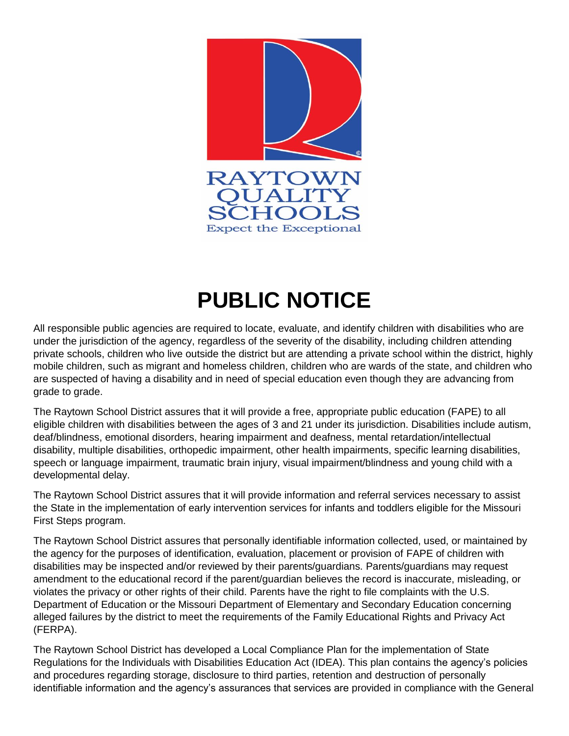

## **PUBLIC NOTICE**

All responsible public agencies are required to locate, evaluate, and identify children with disabilities who are under the jurisdiction of the agency, regardless of the severity of the disability, including children attending private schools, children who live outside the district but are attending a private school within the district, highly mobile children, such as migrant and homeless children, children who are wards of the state, and children who are suspected of having a disability and in need of special education even though they are advancing from grade to grade.

The Raytown School District assures that it will provide a free, appropriate public education (FAPE) to all eligible children with disabilities between the ages of 3 and 21 under its jurisdiction. Disabilities include autism, deaf/blindness, emotional disorders, hearing impairment and deafness, mental retardation/intellectual disability, multiple disabilities, orthopedic impairment, other health impairments, specific learning disabilities, speech or language impairment, traumatic brain injury, visual impairment/blindness and young child with a developmental delay.

The Raytown School District assures that it will provide information and referral services necessary to assist the State in the implementation of early intervention services for infants and toddlers eligible for the Missouri First Steps program.

The Raytown School District assures that personally identifiable information collected, used, or maintained by the agency for the purposes of identification, evaluation, placement or provision of FAPE of children with disabilities may be inspected and/or reviewed by their parents/guardians. Parents/guardians may request amendment to the educational record if the parent/guardian believes the record is inaccurate, misleading, or violates the privacy or other rights of their child. Parents have the right to file complaints with the U.S. Department of Education or the Missouri Department of Elementary and Secondary Education concerning alleged failures by the district to meet the requirements of the Family Educational Rights and Privacy Act (FERPA).

The Raytown School District has developed a Local Compliance Plan for the implementation of State Regulations for the Individuals with Disabilities Education Act (IDEA). This plan contains the agency's policies and procedures regarding storage, disclosure to third parties, retention and destruction of personally identifiable information and the agency's assurances that services are provided in compliance with the General